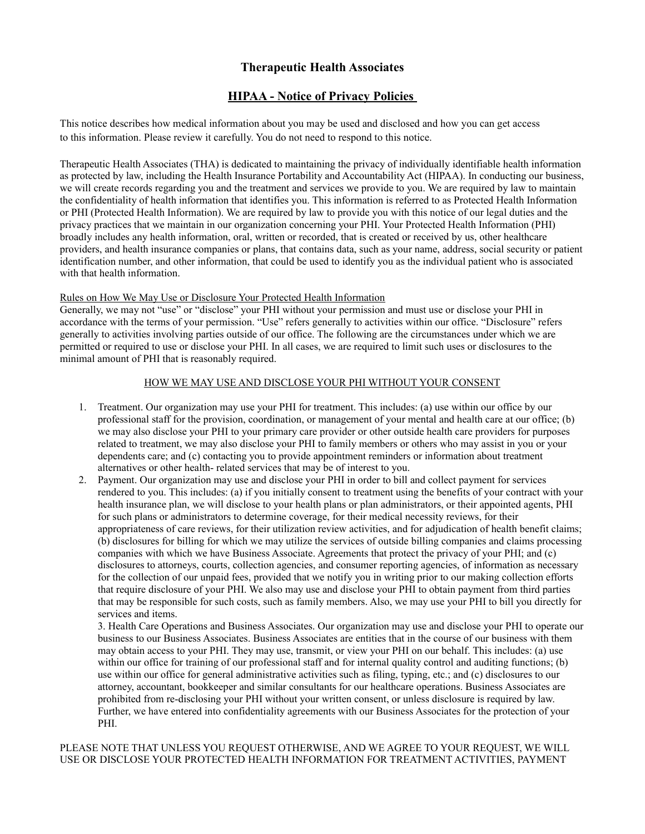# **Therapeutic Health Associates**

# **HIPAA - Notice of Privacy Policies**

This notice describes how medical information about you may be used and disclosed and how you can get access to this information. Please review it carefully. You do not need to respond to this notice.

Therapeutic Health Associates (THA) is dedicated to maintaining the privacy of individually identifiable health information as protected by law, including the Health Insurance Portability and Accountability Act (HIPAA). In conducting our business, we will create records regarding you and the treatment and services we provide to you. We are required by law to maintain the confidentiality of health information that identifies you. This information is referred to as Protected Health Information or PHI (Protected Health Information). We are required by law to provide you with this notice of our legal duties and the privacy practices that we maintain in our organization concerning your PHI. Your Protected Health Information (PHI) broadly includes any health information, oral, written or recorded, that is created or received by us, other healthcare providers, and health insurance companies or plans, that contains data, such as your name, address, social security or patient identification number, and other information, that could be used to identify you as the individual patient who is associated with that health information.

### Rules on How We May Use or Disclosure Your Protected Health Information

Generally, we may not "use" or "disclose" your PHI without your permission and must use or disclose your PHI in accordance with the terms of your permission. "Use" refers generally to activities within our office. "Disclosure" refers generally to activities involving parties outside of our office. The following are the circumstances under which we are permitted or required to use or disclose your PHI. In all cases, we are required to limit such uses or disclosures to the minimal amount of PHI that is reasonably required.

## HOW WE MAY USE AND DISCLOSE YOUR PHI WITHOUT YOUR CONSENT

- 1. Treatment. Our organization may use your PHI for treatment. This includes: (a) use within our office by our professional staff for the provision, coordination, or management of your mental and health care at our office; (b) we may also disclose your PHI to your primary care provider or other outside health care providers for purposes related to treatment, we may also disclose your PHI to family members or others who may assist in you or your dependents care; and (c) contacting you to provide appointment reminders or information about treatment alternatives or other health- related services that may be of interest to you.
- 2. Payment. Our organization may use and disclose your PHI in order to bill and collect payment for services rendered to you. This includes: (a) if you initially consent to treatment using the benefits of your contract with your health insurance plan, we will disclose to your health plans or plan administrators, or their appointed agents, PHI for such plans or administrators to determine coverage, for their medical necessity reviews, for their appropriateness of care reviews, for their utilization review activities, and for adjudication of health benefit claims; (b) disclosures for billing for which we may utilize the services of outside billing companies and claims processing companies with which we have Business Associate. Agreements that protect the privacy of your PHI; and (c) disclosures to attorneys, courts, collection agencies, and consumer reporting agencies, of information as necessary for the collection of our unpaid fees, provided that we notify you in writing prior to our making collection efforts that require disclosure of your PHI. We also may use and disclose your PHI to obtain payment from third parties that may be responsible for such costs, such as family members. Also, we may use your PHI to bill you directly for services and items.

3. Health Care Operations and Business Associates. Our organization may use and disclose your PHI to operate our business to our Business Associates. Business Associates are entities that in the course of our business with them may obtain access to your PHI. They may use, transmit, or view your PHI on our behalf. This includes: (a) use within our office for training of our professional staff and for internal quality control and auditing functions; (b) use within our office for general administrative activities such as filing, typing, etc.; and (c) disclosures to our attorney, accountant, bookkeeper and similar consultants for our healthcare operations. Business Associates are prohibited from re-disclosing your PHI without your written consent, or unless disclosure is required by law. Further, we have entered into confidentiality agreements with our Business Associates for the protection of your PHI.

PLEASE NOTE THAT UNLESS YOU REQUEST OTHERWISE, AND WE AGREE TO YOUR REQUEST, WE WILL USE OR DISCLOSE YOUR PROTECTED HEALTH INFORMATION FOR TREATMENT ACTIVITIES, PAYMENT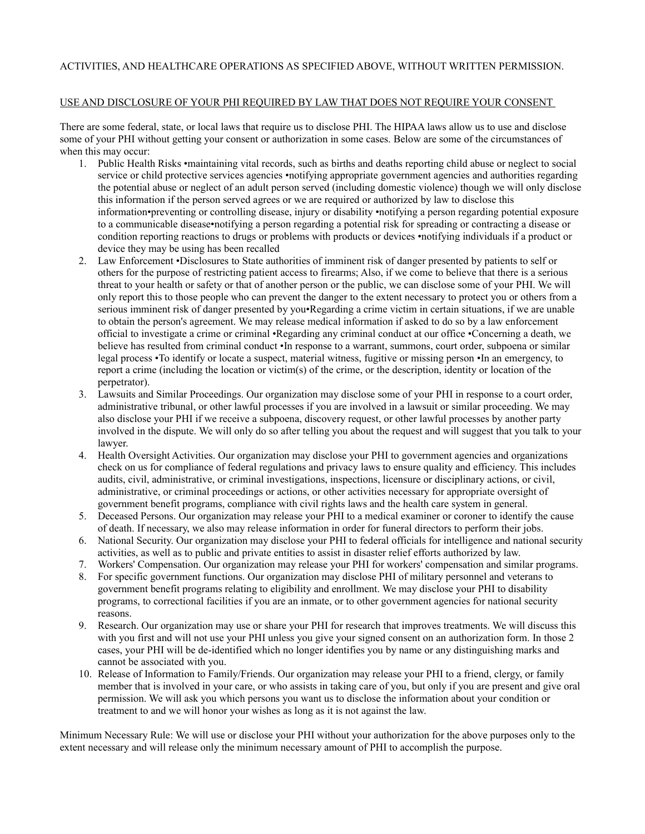### ACTIVITIES, AND HEALTHCARE OPERATIONS AS SPECIFIED ABOVE, WITHOUT WRITTEN PERMISSION.

#### USE AND DISCLOSURE OF YOUR PHI REQUIRED BY LAW THAT DOES NOT REQUIRE YOUR CONSENT

There are some federal, state, or local laws that require us to disclose PHI. The HIPAA laws allow us to use and disclose some of your PHI without getting your consent or authorization in some cases. Below are some of the circumstances of when this may occur:

- 1. Public Health Risks •maintaining vital records, such as births and deaths reporting child abuse or neglect to social service or child protective services agencies •notifying appropriate government agencies and authorities regarding the potential abuse or neglect of an adult person served (including domestic violence) though we will only disclose this information if the person served agrees or we are required or authorized by law to disclose this information•preventing or controlling disease, injury or disability •notifying a person regarding potential exposure to a communicable disease•notifying a person regarding a potential risk for spreading or contracting a disease or condition reporting reactions to drugs or problems with products or devices •notifying individuals if a product or device they may be using has been recalled
- 2. Law Enforcement •Disclosures to State authorities of imminent risk of danger presented by patients to self or others for the purpose of restricting patient access to firearms; Also, if we come to believe that there is a serious threat to your health or safety or that of another person or the public, we can disclose some of your PHI. We will only report this to those people who can prevent the danger to the extent necessary to protect you or others from a serious imminent risk of danger presented by you•Regarding a crime victim in certain situations, if we are unable to obtain the person's agreement. We may release medical information if asked to do so by a law enforcement official to investigate a crime or criminal •Regarding any criminal conduct at our office •Concerning a death, we believe has resulted from criminal conduct •In response to a warrant, summons, court order, subpoena or similar legal process •To identify or locate a suspect, material witness, fugitive or missing person •In an emergency, to report a crime (including the location or victim(s) of the crime, or the description, identity or location of the perpetrator).
- 3. Lawsuits and Similar Proceedings. Our organization may disclose some of your PHI in response to a court order, administrative tribunal, or other lawful processes if you are involved in a lawsuit or similar proceeding. We may also disclose your PHI if we receive a subpoena, discovery request, or other lawful processes by another party involved in the dispute. We will only do so after telling you about the request and will suggest that you talk to your lawyer.
- 4. Health Oversight Activities. Our organization may disclose your PHI to government agencies and organizations check on us for compliance of federal regulations and privacy laws to ensure quality and efficiency. This includes audits, civil, administrative, or criminal investigations, inspections, licensure or disciplinary actions, or civil, administrative, or criminal proceedings or actions, or other activities necessary for appropriate oversight of government benefit programs, compliance with civil rights laws and the health care system in general.
- 5. Deceased Persons. Our organization may release your PHI to a medical examiner or coroner to identify the cause of death. If necessary, we also may release information in order for funeral directors to perform their jobs.
- 6. National Security. Our organization may disclose your PHI to federal officials for intelligence and national security activities, as well as to public and private entities to assist in disaster relief efforts authorized by law.
- 7. Workers' Compensation. Our organization may release your PHI for workers' compensation and similar programs.
- 8. For specific government functions. Our organization may disclose PHI of military personnel and veterans to government benefit programs relating to eligibility and enrollment. We may disclose your PHI to disability programs, to correctional facilities if you are an inmate, or to other government agencies for national security reasons.
- 9. Research. Our organization may use or share your PHI for research that improves treatments. We will discuss this with you first and will not use your PHI unless you give your signed consent on an authorization form. In those 2 cases, your PHI will be de-identified which no longer identifies you by name or any distinguishing marks and cannot be associated with you.
- 10. Release of Information to Family/Friends. Our organization may release your PHI to a friend, clergy, or family member that is involved in your care, or who assists in taking care of you, but only if you are present and give oral permission. We will ask you which persons you want us to disclose the information about your condition or treatment to and we will honor your wishes as long as it is not against the law.

Minimum Necessary Rule: We will use or disclose your PHI without your authorization for the above purposes only to the extent necessary and will release only the minimum necessary amount of PHI to accomplish the purpose.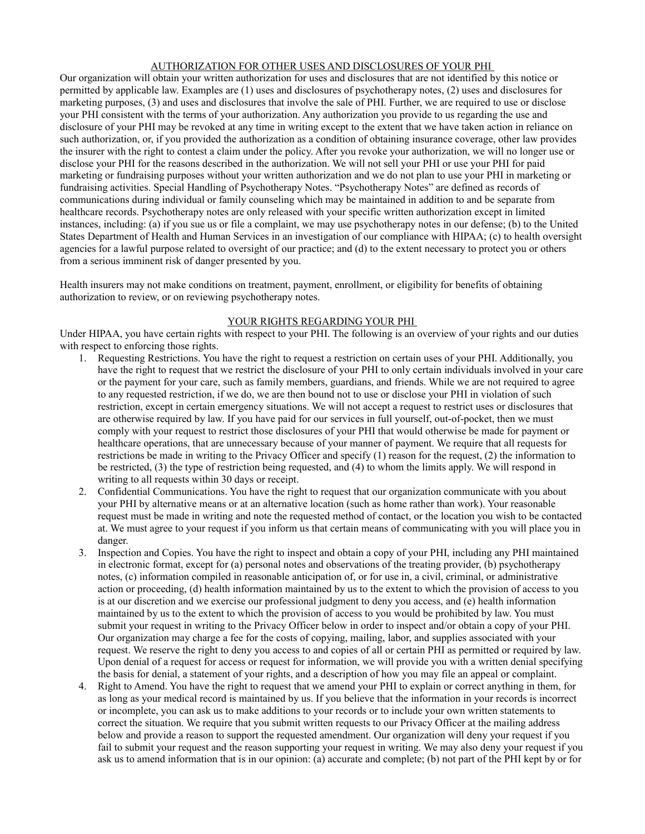#### AUTHORIZATION FOR OTHER USES AND DISCLOSURES OF YOUR PHI

Our organization will obtain your written authorization for uses and disclosures that are not identified by this notice or permitted by applicable law. Examples are (1) uses and disclosures of psychotherapy notes, (2) uses and disclosures for marketing purposes, (3) and uses and disclosures that involve the sale of PHI. Further, we are required to use or disclose your PHI consistent with the terms of your authorization. Any authorization you provide to us regarding the use and disclosure of your PHI may be revoked at any time in writing except to the extent that we have taken action in reliance on such authorization, or, if you provided the authorization as a condition of obtaining insurance coverage, other law provides the insurer with the right to contest a claim under the policy. After you revoke your authorization, we will no longer use or disclose your PHI for the reasons described in the authorization. We will not sell your PHI or use your PHI for paid marketing or fundraising purposes without your written authorization and we do not plan to use your PHI in marketing or fundraising activities. Special Handling of Psychotherapy Notes. "Psychotherapy Notes" are defined as records of communications during individual or family counseling which may be maintained in addition to and be separate from healthcare records. Psychotherapy notes are only released with your specific written authorization except in limited instances, including: (a) if you sue us or file a complaint, we may use psychotherapy notes in our defense; (b) to the United States Department of Health and Human Services in an investigation of our compliance with HIPAA; (c) to health oversight agencies for a lawful purpose related to oversight of our practice; and (d) to the extent necessary to protect you or others from a serious imminent risk of danger presented by you.

Health insurers may not make conditions on treatment, payment, enrollment, or eligibility for benefits of obtaining authorization to review, or on reviewing psychotherapy notes.

#### YOUR RIGHTS REGARDING YOUR PHI

Under HIPAA, you have certain rights with respect to your PHI. The following is an overview of your rights and our duties with respect to enforcing those rights.

- 1. Requesting Restrictions. You have the right to request a restriction on certain uses of your PHI. Additionally, you have the right to request that we restrict the disclosure of your PHI to only certain individuals involved in your care or the payment for your care, such as family members, guardians, and friends. While we are not required to agree to any requested restriction, if we do, we are then bound not to use or disclose your PHI in violation of such restriction, except in certain emergency situations. We will not accept a request to restrict uses or disclosures that are otherwise required by law. If you have paid for our services in full yourself, out-of-pocket, then we must comply with your request to restrict those disclosures of your PHI that would otherwise be made for payment or healthcare operations, that are unnecessary because of your manner of payment. We require that all requests for restrictions be made in writing to the Privacy Officer and specify (1) reason for the request, (2) the information to be restricted, (3) the type of restriction being requested, and (4) to whom the limits apply. We will respond in writing to all requests within 30 days or receipt.
- 2. Confidential Communications. You have the right to request that our organization communicate with you about your PHI by alternative means or at an alternative location (such as home rather than work). Your reasonable request must be made in writing and note the requested method of contact, or the location you wish to be contacted at. We must agree to your request if you inform us that certain means of communicating with you will place you in danger.
- 3. Inspection and Copies. You have the right to inspect and obtain a copy of your PHI, including any PHI maintained in electronic format, except for (a) personal notes and observations of the treating provider, (b) psychotherapy notes, (c) information compiled in reasonable anticipation of, or for use in, a civil, criminal, or administrative action or proceeding, (d) health information maintained by us to the extent to which the provision of access to you is at our discretion and we exercise our professional judgment to deny you access, and (e) health information maintained by us to the extent to which the provision of access to you would be prohibited by law. You must submit your request in writing to the Privacy Officer below in order to inspect and/or obtain a copy of your PHI. Our organization may charge a fee for the costs of copying, mailing, labor, and supplies associated with your request. We reserve the right to deny you access to and copies of all or certain PHI as permitted or required by law. Upon denial of a request for access or request for information, we will provide you with a written denial specifying the basis for denial, a statement of your rights, and a description of how you may file an appeal or complaint.
- 4. Right to Amend. You have the right to request that we amend your PHI to explain or correct anything in them, for as long as your medical record is maintained by us. If you believe that the information in your records is incorrect or incomplete, you can ask us to make additions to your records or to include your own written statements to correct the situation. We require that you submit written requests to our Privacy Officer at the mailing address below and provide a reason to support the requested amendment. Our organization will deny your request if you fail to submit your request and the reason supporting your request in writing. We may also deny your request if you ask us to amend information that is in our opinion: (a) accurate and complete; (b) not part of the PHI kept by or for